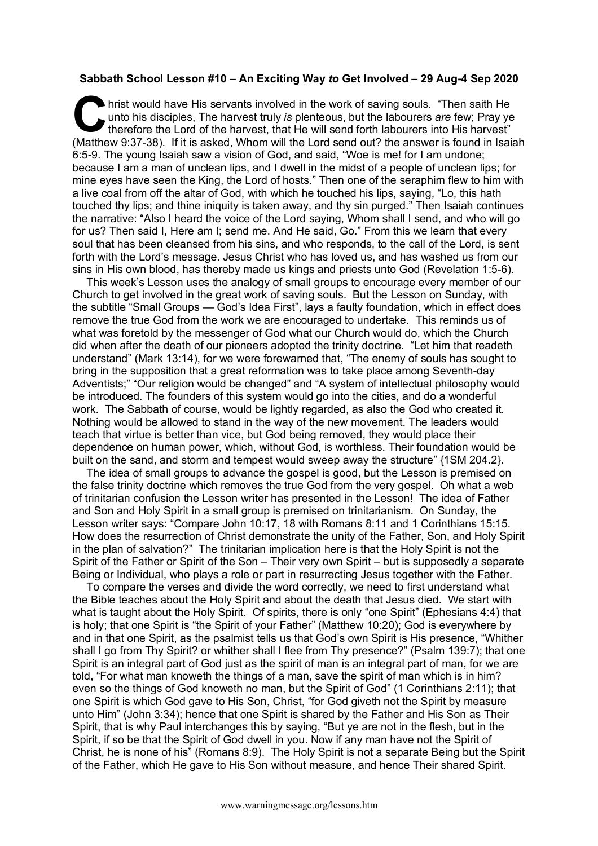## **Sabbath School Lesson #10 – An Exciting Way** *to* **Get Involved – 29 Aug-4 Sep 2020**

hrist would have His servants involved in the work of saving souls. "Then saith He unto his disciples, The harvest truly *is* plenteous, but the labourers *are* few; Pray ye therefore the Lord of the harvest, that He will send forth labourers into His harvest" (Matthew 9:37-38). If it is asked, Whom will the Lord send out? the answer is found in Isaiah 6:5-9. The young Isaiah saw a vision of God, and said, "Woe is me! for I am undone; because I am a man of unclean lips, and I dwell in the midst of a people of unclean lips; for mine eyes have seen the King, the Lord of hosts." Then one of the seraphim flew to him with a live coal from off the altar of God, with which he touched his lips, saying, "Lo, this hath touched thy lips; and thine iniquity is taken away, and thy sin purged." Then Isaiah continues the narrative: "Also I heard the voice of the Lord saying, Whom shall I send, and who will go for us? Then said I, Here am I; send me. And He said, Go." From this we learn that every soul that has been cleansed from his sins, and who responds, to the call of the Lord, is sent forth with the Lord's message. Jesus Christ who has loved us, and has washed us from our sins in His own blood, has thereby made us kings and priests unto God (Revelation 1:5-6). C un

This week's Lesson uses the analogy of small groups to encourage every member of our Church to get involved in the great work of saving souls. But the Lesson on Sunday, with the subtitle "Small Groups — God's Idea First", lays a faulty foundation, which in effect does remove the true God from the work we are encouraged to undertake. This reminds us of what was foretold by the messenger of God what our Church would do, which the Church did when after the death of our pioneers adopted the trinity doctrine. "Let him that readeth understand" (Mark 13:14), for we were forewarned that, "The enemy of souls has sought to bring in the supposition that a great reformation was to take place among Seventh-day Adventists;" "Our religion would be changed" and "A system of intellectual philosophy would be introduced. The founders of this system would go into the cities, and do a wonderful work. The Sabbath of course, would be lightly regarded, as also the God who created it. Nothing would be allowed to stand in the way of the new movement. The leaders would teach that virtue is better than vice, but God being removed, they would place their dependence on human power, which, without God, is worthless. Their foundation would be built on the sand, and storm and tempest would sweep away the structure" {1SM 204.2}.

The idea of small groups to advance the gospel is good, but the Lesson is premised on the false trinity doctrine which removes the true God from the very gospel. Oh what a web of trinitarian confusion the Lesson writer has presented in the Lesson! The idea of Father and Son and Holy Spirit in a small group is premised on trinitarianism. On Sunday, the Lesson writer says: "Compare John 10:17, 18 with Romans 8:11 and 1 Corinthians 15:15. How does the resurrection of Christ demonstrate the unity of the Father, Son, and Holy Spirit in the plan of salvation?" The trinitarian implication here is that the Holy Spirit is not the Spirit of the Father or Spirit of the Son – Their very own Spirit – but is supposedly a separate Being or Individual, who plays a role or part in resurrecting Jesus together with the Father.

To compare the verses and divide the word correctly, we need to first understand what the Bible teaches about the Holy Spirit and about the death that Jesus died. We start with what is taught about the Holy Spirit. Of spirits, there is only "one Spirit" (Ephesians 4:4) that is holy; that one Spirit is "the Spirit of your Father" (Matthew 10:20); God is everywhere by and in that one Spirit, as the psalmist tells us that God's own Spirit is His presence, "Whither shall I go from Thy Spirit? or whither shall I flee from Thy presence?" (Psalm 139:7); that one Spirit is an integral part of God just as the spirit of man is an integral part of man, for we are told, "For what man knoweth the things of a man, save the spirit of man which is in him? even so the things of God knoweth no man, but the Spirit of God" (1 Corinthians 2:11); that one Spirit is which God gave to His Son, Christ, "for God giveth not the Spirit by measure unto Him" (John 3:34); hence that one Spirit is shared by the Father and His Son as Their Spirit, that is why Paul interchanges this by saying, "But ye are not in the flesh, but in the Spirit, if so be that the Spirit of God dwell in you. Now if any man have not the Spirit of Christ, he is none of his" (Romans 8:9). The Holy Spirit is not a separate Being but the Spirit of the Father, which He gave to His Son without measure, and hence Their shared Spirit.